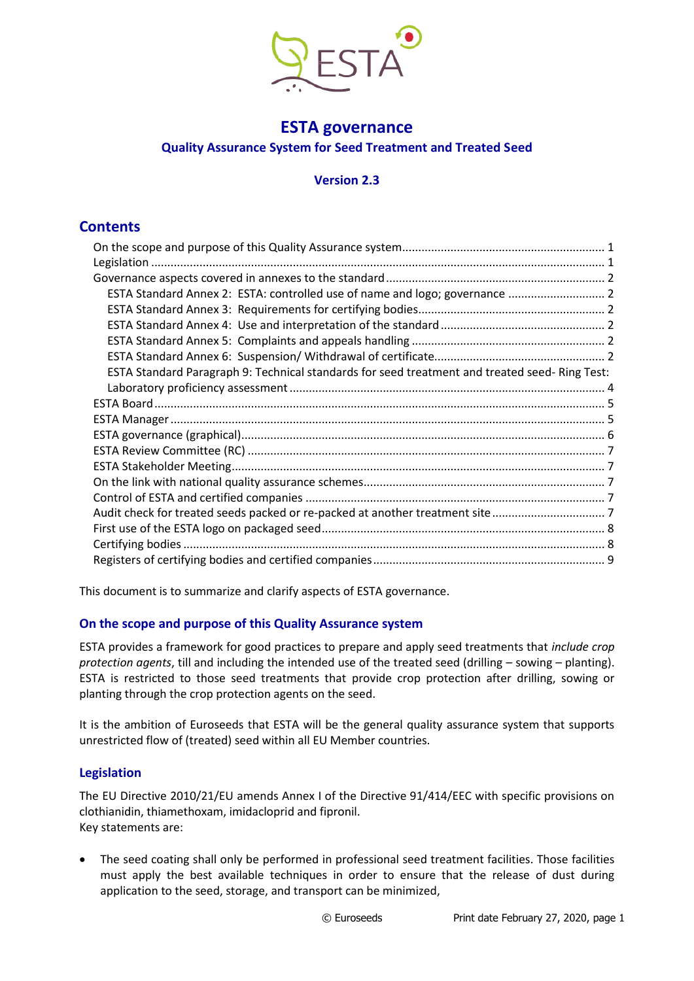

# **ESTA governance Quality Assurance System for Seed Treatment and Treated Seed**

# **Version 2.3**

# **Contents**

| ESTA Standard Annex 2: ESTA: controlled use of name and logo; governance  2                   |  |
|-----------------------------------------------------------------------------------------------|--|
|                                                                                               |  |
|                                                                                               |  |
|                                                                                               |  |
|                                                                                               |  |
| ESTA Standard Paragraph 9: Technical standards for seed treatment and treated seed-Ring Test: |  |
|                                                                                               |  |
|                                                                                               |  |
|                                                                                               |  |
|                                                                                               |  |
|                                                                                               |  |
|                                                                                               |  |
|                                                                                               |  |
|                                                                                               |  |
| Audit check for treated seeds packed or re-packed at another treatment site 7                 |  |
|                                                                                               |  |
|                                                                                               |  |
|                                                                                               |  |

This document is to summarize and clarify aspects of ESTA governance.

# <span id="page-0-0"></span>**On the scope and purpose of this Quality Assurance system**

ESTA provides a framework for good practices to prepare and apply seed treatments that *include crop protection agents*, till and including the intended use of the treated seed (drilling – sowing – planting). ESTA is restricted to those seed treatments that provide crop protection after drilling, sowing or planting through the crop protection agents on the seed.

It is the ambition of Euroseeds that ESTA will be the general quality assurance system that supports unrestricted flow of (treated) seed within all EU Member countries.

# <span id="page-0-1"></span>**Legislation**

The EU Directive 2010/21/EU amends Annex I of the Directive 91/414/EEC with specific provisions on clothianidin, thiamethoxam, imidacloprid and fipronil. Key statements are:

• The seed coating shall only be performed in professional seed treatment facilities. Those facilities must apply the best available techniques in order to ensure that the release of dust during application to the seed, storage, and transport can be minimized,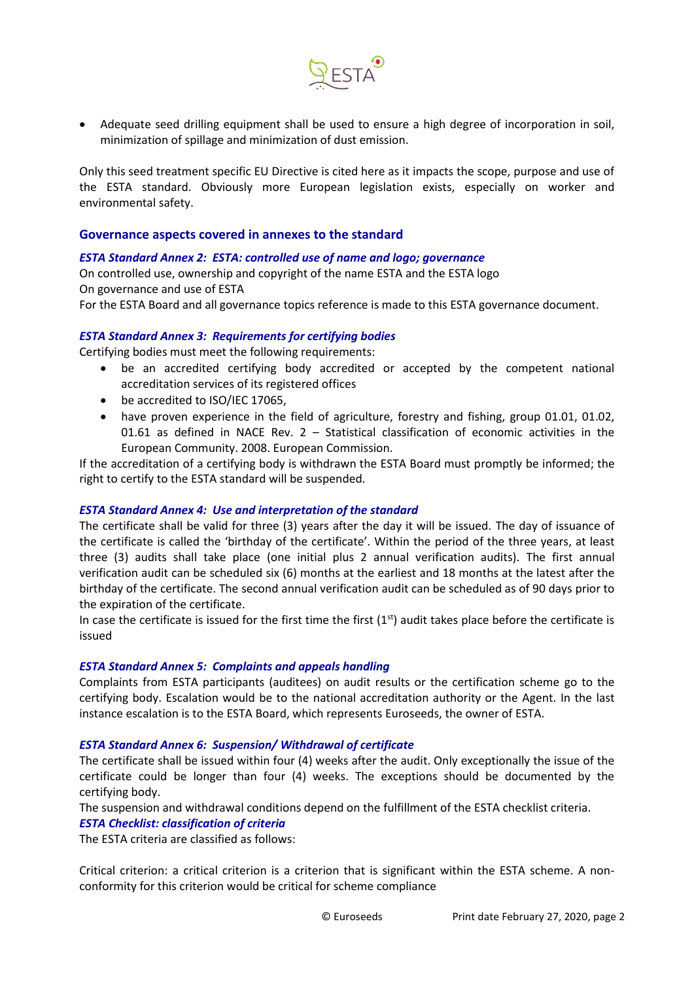

• Adequate seed drilling equipment shall be used to ensure a high degree of incorporation in soil, minimization of spillage and minimization of dust emission.

Only this seed treatment specific EU Directive is cited here as it impacts the scope, purpose and use of the ESTA standard. Obviously more European legislation exists, especially on worker and environmental safety.

#### <span id="page-1-0"></span>**Governance aspects covered in annexes to the standard**

#### <span id="page-1-1"></span>*ESTA Standard Annex 2: ESTA: controlled use of name and logo; governance*

On controlled use, ownership and copyright of the name ESTA and the ESTA logo On governance and use of ESTA For the ESTA Board and all governance topics reference is made to this ESTA governance document.

#### <span id="page-1-2"></span>*ESTA Standard Annex 3: Requirements for certifying bodies*

Certifying bodies must meet the following requirements:

- be an accredited certifying body accredited or accepted by the competent national accreditation services of its registered offices
- be accredited to ISO/IEC 17065,
- have proven experience in the field of agriculture, forestry and fishing, group 01.01, 01.02, 01.61 as defined in NACE Rev. 2 – Statistical classification of economic activities in the European Community. 2008. European Commission.

If the accreditation of a certifying body is withdrawn the ESTA Board must promptly be informed; the right to certify to the ESTA standard will be suspended.

#### <span id="page-1-3"></span>*ESTA Standard Annex 4: Use and interpretation of the standard*

The certificate shall be valid for three (3) years after the day it will be issued. The day of issuance of the certificate is called the 'birthday of the certificate'. Within the period of the three years, at least three (3) audits shall take place (one initial plus 2 annual verification audits). The first annual verification audit can be scheduled six (6) months at the earliest and 18 months at the latest after the birthday of the certificate. The second annual verification audit can be scheduled as of 90 days prior to the expiration of the certificate.

In case the certificate is issued for the first time the first  $(1<sup>st</sup>)$  audit takes place before the certificate is issued

#### <span id="page-1-4"></span>*ESTA Standard Annex 5: Complaints and appeals handling*

Complaints from ESTA participants (auditees) on audit results or the certification scheme go to the certifying body. Escalation would be to the national accreditation authority or the Agent. In the last instance escalation is to the ESTA Board, which represents Euroseeds, the owner of ESTA.

#### <span id="page-1-5"></span>*ESTA Standard Annex 6: Suspension/ Withdrawal of certificate*

The certificate shall be issued within four (4) weeks after the audit. Only exceptionally the issue of the certificate could be longer than four (4) weeks. The exceptions should be documented by the certifying body.

The suspension and withdrawal conditions depend on the fulfillment of the ESTA checklist criteria.

#### *ESTA Checklist: classification of criteria*

The ESTA criteria are classified as follows:

Critical criterion: a critical criterion is a criterion that is significant within the ESTA scheme. A nonconformity for this criterion would be critical for scheme compliance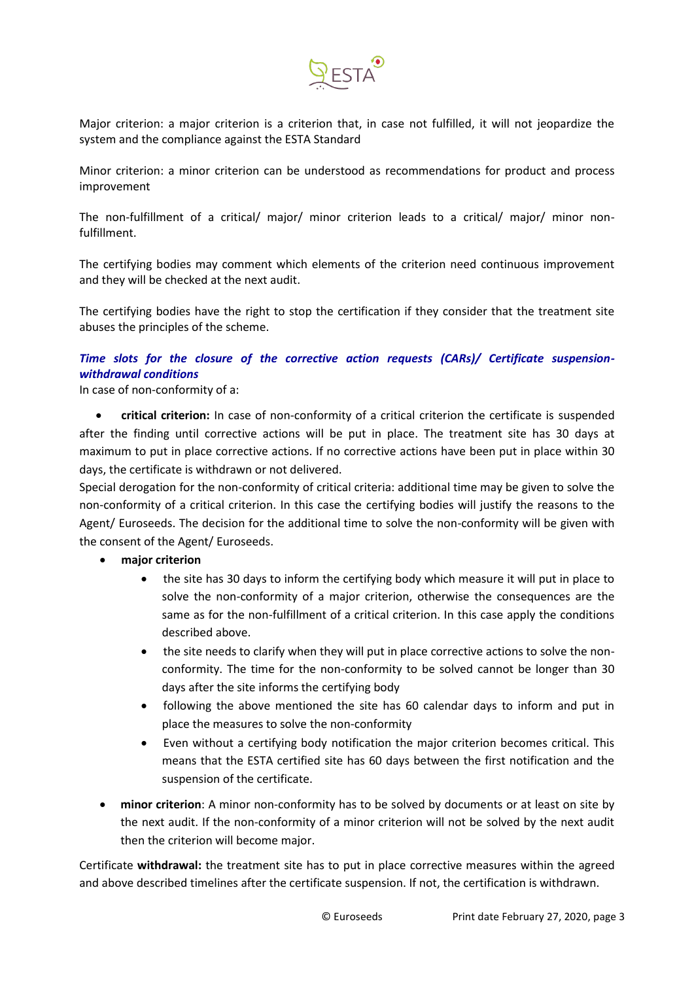

Major criterion: a major criterion is a criterion that, in case not fulfilled, it will not jeopardize the system and the compliance against the ESTA Standard

Minor criterion: a minor criterion can be understood as recommendations for product and process improvement

The non-fulfillment of a critical/ major/ minor criterion leads to a critical/ major/ minor nonfulfillment.

The certifying bodies may comment which elements of the criterion need continuous improvement and they will be checked at the next audit.

The certifying bodies have the right to stop the certification if they consider that the treatment site abuses the principles of the scheme.

# *Time slots for the closure of the corrective action requests (CARs)/ Certificate suspensionwithdrawal conditions*

In case of non-conformity of a:

• **critical criterion:** In case of non-conformity of a critical criterion the certificate is suspended after the finding until corrective actions will be put in place. The treatment site has 30 days at maximum to put in place corrective actions. If no corrective actions have been put in place within 30 days, the certificate is withdrawn or not delivered.

Special derogation for the non-conformity of critical criteria: additional time may be given to solve the non-conformity of a critical criterion. In this case the certifying bodies will justify the reasons to the Agent/ Euroseeds. The decision for the additional time to solve the non-conformity will be given with the consent of the Agent/ Euroseeds.

- **major criterion**
	- the site has 30 days to inform the certifying body which measure it will put in place to solve the non-conformity of a major criterion, otherwise the consequences are the same as for the non-fulfillment of a critical criterion. In this case apply the conditions described above.
	- the site needs to clarify when they will put in place corrective actions to solve the nonconformity. The time for the non-conformity to be solved cannot be longer than 30 days after the site informs the certifying body
	- following the above mentioned the site has 60 calendar days to inform and put in place the measures to solve the non-conformity
	- Even without a certifying body notification the major criterion becomes critical. This means that the ESTA certified site has 60 days between the first notification and the suspension of the certificate.
- **minor criterion**: A minor non-conformity has to be solved by documents or at least on site by the next audit. If the non-conformity of a minor criterion will not be solved by the next audit then the criterion will become major.

Certificate **withdrawal:** the treatment site has to put in place corrective measures within the agreed and above described timelines after the certificate suspension. If not, the certification is withdrawn.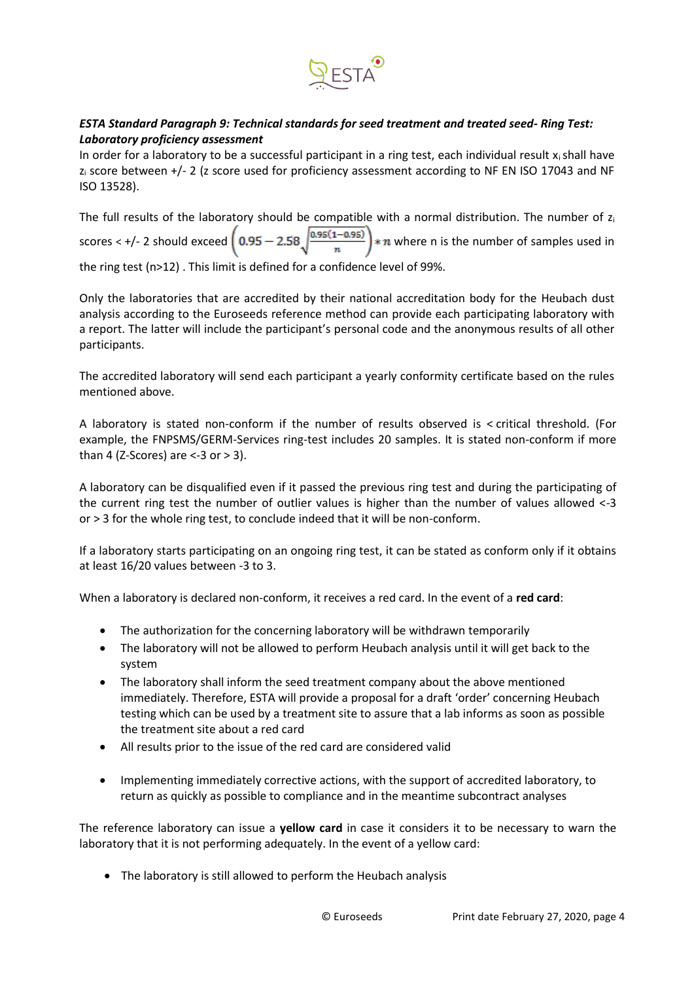

# <span id="page-3-0"></span>*ESTA Standard Paragraph 9: Technical standards for seed treatment and treated seed- Ring Test: Laboratory proficiency assessment*

In order for a laboratory to be a successful participant in a ring test, each individual result  $x_i$  shall have z<sub>i</sub> score between +/- 2 (z score used for proficiency assessment according to NF EN ISO 17043 and NF ISO 13528).

The full results of the laboratory should be compatible with a normal distribution. The number of  $z_i$ scores < +/- 2 should exceed  $\left(0.95-2.58\sqrt{\frac{0.95(1-0.95)}{n}}\right)*n$  where n is the number of samples used in the ring test (n>12) . This limit is defined for a confidence level of 99%.

Only the laboratories that are accredited by their national accreditation body for the Heubach dust analysis according to the Euroseeds reference method can provide each participating laboratory with a report. The latter will include the participant's personal code and the anonymous results of all other participants.

The accredited laboratory will send each participant a yearly conformity certificate based on the rules mentioned above.

A laboratory is stated non-conform if the number of results observed is < critical threshold. (For example, the FNPSMS/GERM-Services ring-test includes 20 samples. It is stated non-conform if more than 4 (Z-Scores) are  $\le$ -3 or  $>$  3).

A laboratory can be disqualified even if it passed the previous ring test and during the participating of the current ring test the number of outlier values is higher than the number of values allowed <-3 or > 3 for the whole ring test, to conclude indeed that it will be non-conform.

If a laboratory starts participating on an ongoing ring test, it can be stated as conform only if it obtains at least 16/20 values between -3 to 3.

When a laboratory is declared non-conform, it receives a red card. In the event of a **red card**:

- The authorization for the concerning laboratory will be withdrawn temporarily
- The laboratory will not be allowed to perform Heubach analysis until it will get back to the system
- The laboratory shall inform the seed treatment company about the above mentioned immediately. Therefore, ESTA will provide a proposal for a draft 'order' concerning Heubach testing which can be used by a treatment site to assure that a lab informs as soon as possible the treatment site about a red card
- All results prior to the issue of the red card are considered valid
- Implementing immediately corrective actions, with the support of accredited laboratory, to return as quickly as possible to compliance and in the meantime subcontract analyses

The reference laboratory can issue a **yellow card** in case it considers it to be necessary to warn the laboratory that it is not performing adequately. In the event of a yellow card:

• The laboratory is still allowed to perform the Heubach analysis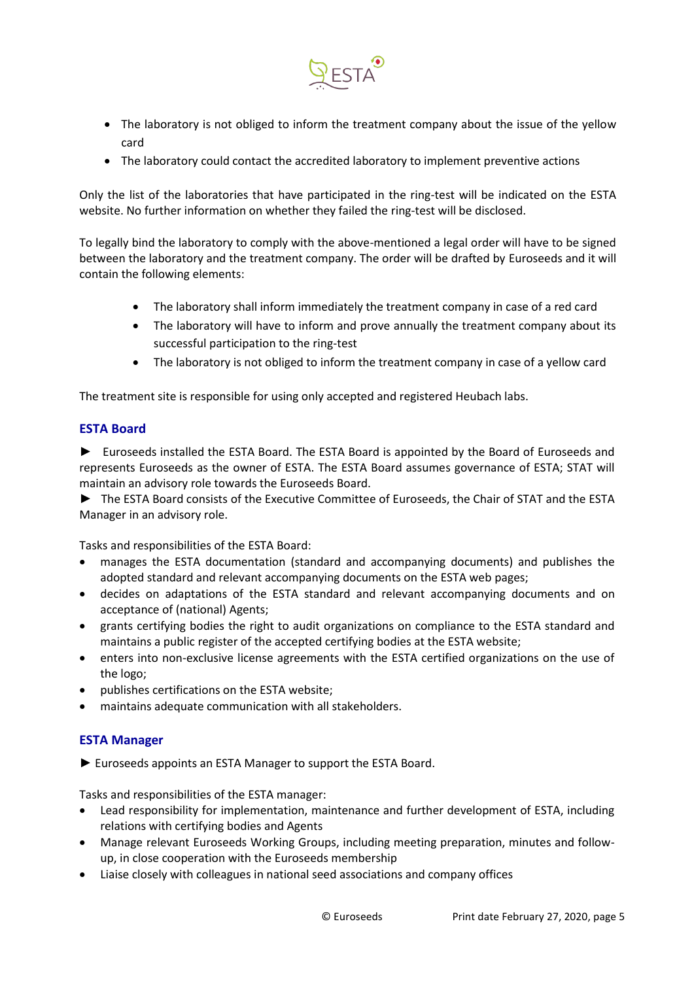

- The laboratory is not obliged to inform the treatment company about the issue of the yellow card
- The laboratory could contact the accredited laboratory to implement preventive actions

Only the list of the laboratories that have participated in the ring-test will be indicated on the ESTA website. No further information on whether they failed the ring-test will be disclosed.

To legally bind the laboratory to comply with the above-mentioned a legal order will have to be signed between the laboratory and the treatment company. The order will be drafted by Euroseeds and it will contain the following elements:

- The laboratory shall inform immediately the treatment company in case of a red card
- The laboratory will have to inform and prove annually the treatment company about its successful participation to the ring-test
- The laboratory is not obliged to inform the treatment company in case of a yellow card

The treatment site is responsible for using only accepted and registered Heubach labs.

# <span id="page-4-0"></span>**ESTA Board**

► Euroseeds installed the ESTA Board. The ESTA Board is appointed by the Board of Euroseeds and represents Euroseeds as the owner of ESTA. The ESTA Board assumes governance of ESTA; STAT will maintain an advisory role towards the Euroseeds Board.

► The ESTA Board consists of the Executive Committee of Euroseeds, the Chair of STAT and the ESTA Manager in an advisory role.

Tasks and responsibilities of the ESTA Board:

- manages the ESTA documentation (standard and accompanying documents) and publishes the adopted standard and relevant accompanying documents on the ESTA web pages;
- decides on adaptations of the ESTA standard and relevant accompanying documents and on acceptance of (national) Agents;
- grants certifying bodies the right to audit organizations on compliance to the ESTA standard and maintains a public register of the accepted certifying bodies at the ESTA website;
- enters into non-exclusive license agreements with the ESTA certified organizations on the use of the logo;
- publishes certifications on the ESTA website;
- <span id="page-4-1"></span>• maintains adequate communication with all stakeholders.

# **ESTA Manager**

► Euroseeds appoints an ESTA Manager to support the ESTA Board.

Tasks and responsibilities of the ESTA manager:

- Lead responsibility for implementation, maintenance and further development of ESTA, including relations with certifying bodies and Agents
- Manage relevant Euroseeds Working Groups, including meeting preparation, minutes and followup, in close cooperation with the Euroseeds membership
- Liaise closely with colleagues in national seed associations and company offices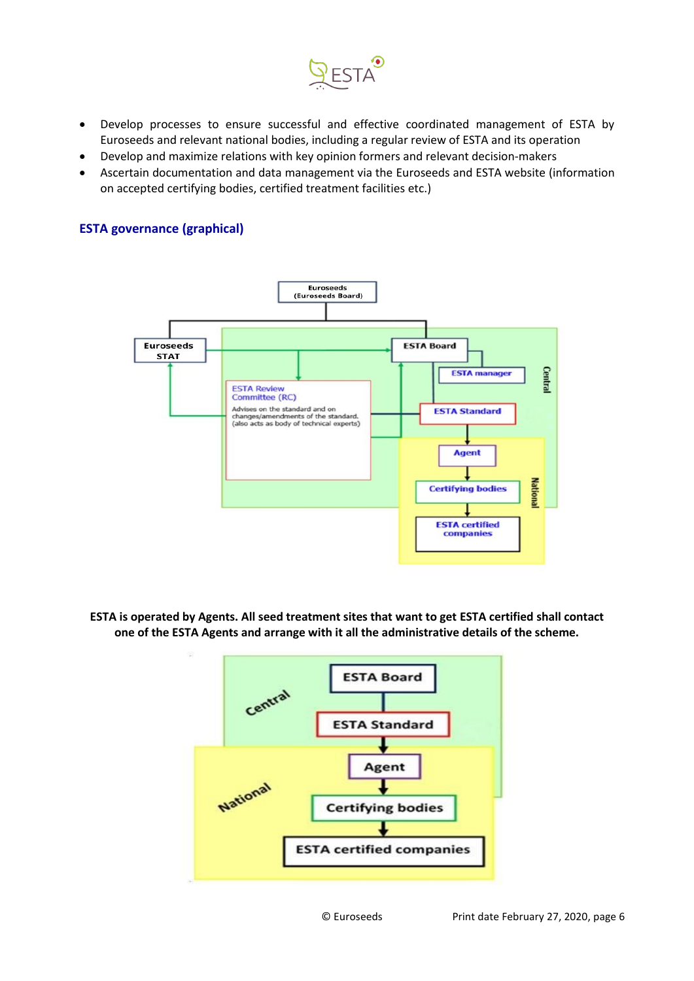

- Develop processes to ensure successful and effective coordinated management of ESTA by Euroseeds and relevant national bodies, including a regular review of ESTA and its operation
- Develop and maximize relations with key opinion formers and relevant decision-makers
- Ascertain documentation and data management via the Euroseeds and ESTA website (information on accepted certifying bodies, certified treatment facilities etc.)

#### <span id="page-5-0"></span>**ESTA governance (graphical)**



**ESTA is operated by Agents. All seed treatment sites that want to get ESTA certified shall contact one of the ESTA Agents and arrange with it all the administrative details of the scheme.** 

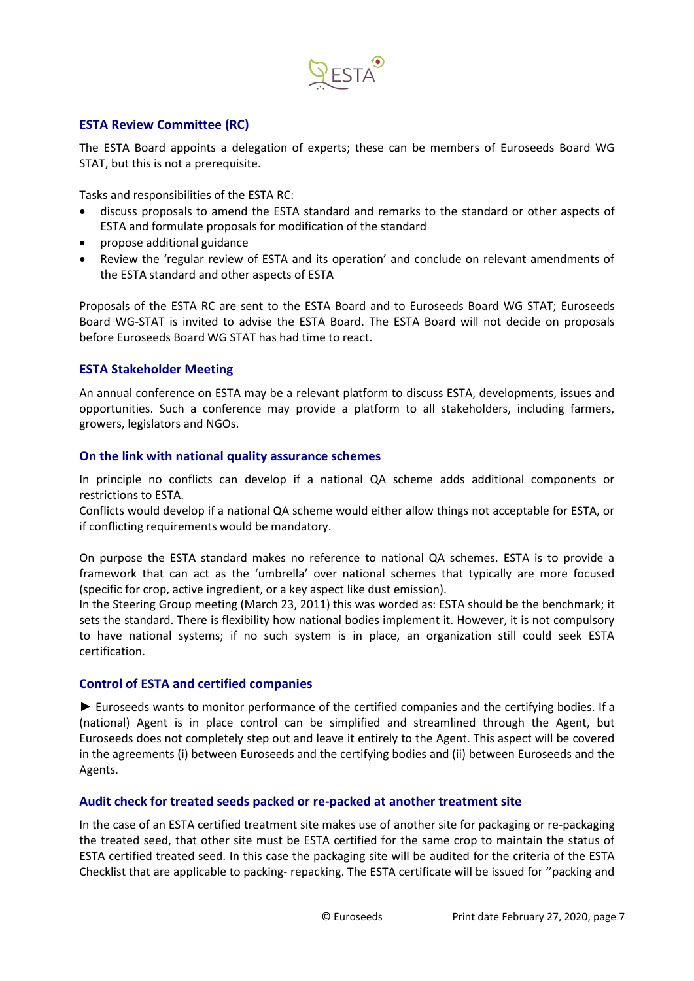

# <span id="page-6-0"></span>**ESTA Review Committee (RC)**

The ESTA Board appoints a delegation of experts; these can be members of Euroseeds Board WG STAT, but this is not a prerequisite.

Tasks and responsibilities of the ESTA RC:

- discuss proposals to amend the ESTA standard and remarks to the standard or other aspects of ESTA and formulate proposals for modification of the standard
- propose additional guidance
- Review the 'regular review of ESTA and its operation' and conclude on relevant amendments of the ESTA standard and other aspects of ESTA

Proposals of the ESTA RC are sent to the ESTA Board and to Euroseeds Board WG STAT; Euroseeds Board WG-STAT is invited to advise the ESTA Board. The ESTA Board will not decide on proposals before Euroseeds Board WG STAT has had time to react.

#### <span id="page-6-1"></span>**ESTA Stakeholder Meeting**

An annual conference on ESTA may be a relevant platform to discuss ESTA, developments, issues and opportunities. Such a conference may provide a platform to all stakeholders, including farmers, growers, legislators and NGOs.

#### <span id="page-6-2"></span>**On the link with national quality assurance schemes**

In principle no conflicts can develop if a national QA scheme adds additional components or restrictions to ESTA.

Conflicts would develop if a national QA scheme would either allow things not acceptable for ESTA, or if conflicting requirements would be mandatory.

On purpose the ESTA standard makes no reference to national QA schemes. ESTA is to provide a framework that can act as the 'umbrella' over national schemes that typically are more focused (specific for crop, active ingredient, or a key aspect like dust emission).

In the Steering Group meeting (March 23, 2011) this was worded as: ESTA should be the benchmark; it sets the standard. There is flexibility how national bodies implement it. However, it is not compulsory to have national systems; if no such system is in place, an organization still could seek ESTA certification.

#### <span id="page-6-3"></span>**Control of ESTA and certified companies**

► Euroseeds wants to monitor performance of the certified companies and the certifying bodies. If a (national) Agent is in place control can be simplified and streamlined through the Agent, but Euroseeds does not completely step out and leave it entirely to the Agent. This aspect will be covered in the agreements (i) between Euroseeds and the certifying bodies and (ii) between Euroseeds and the Agents.

# <span id="page-6-4"></span>**Audit check for treated seeds packed or re-packed at another treatment site**

In the case of an ESTA certified treatment site makes use of another site for packaging or re-packaging the treated seed, that other site must be ESTA certified for the same crop to maintain the status of ESTA certified treated seed. In this case the packaging site will be audited for the criteria of the ESTA Checklist that are applicable to packing- repacking. The ESTA certificate will be issued for ''packing and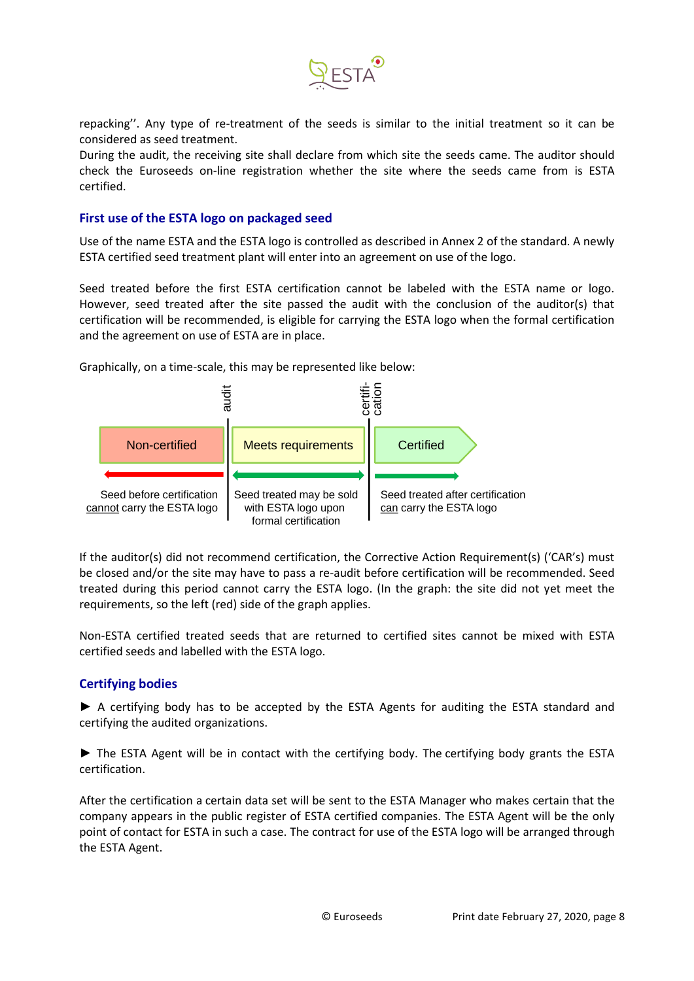

repacking''. Any type of re-treatment of the seeds is similar to the initial treatment so it can be considered as seed treatment.

During the audit, the receiving site shall declare from which site the seeds came. The auditor should check the Euroseeds on-line registration whether the site where the seeds came from is ESTA certified.

#### <span id="page-7-0"></span>**First use of the ESTA logo on packaged seed**

Use of the name ESTA and the ESTA logo is controlled as described in Annex 2 of the standard. A newly ESTA certified seed treatment plant will enter into an agreement on use of the logo.

Seed treated before the first ESTA certification cannot be labeled with the ESTA name or logo. However, seed treated after the site passed the audit with the conclusion of the auditor(s) that certification will be recommended, is eligible for carrying the ESTA logo when the formal certification and the agreement on use of ESTA are in place.



Graphically, on a time-scale, this may be represented like below:

If the auditor(s) did not recommend certification, the Corrective Action Requirement(s) ('CAR's) must be closed and/or the site may have to pass a re-audit before certification will be recommended. Seed treated during this period cannot carry the ESTA logo. (In the graph: the site did not yet meet the requirements, so the left (red) side of the graph applies.

Non-ESTA certified treated seeds that are returned to certified sites cannot be mixed with ESTA certified seeds and labelled with the ESTA logo.

# <span id="page-7-1"></span>**Certifying bodies**

► A certifying body has to be accepted by the ESTA Agents for auditing the ESTA standard and certifying the audited organizations.

► The ESTA Agent will be in contact with the certifying body. The certifying body grants the ESTA certification.

After the certification a certain data set will be sent to the ESTA Manager who makes certain that the company appears in the public register of ESTA certified companies. The ESTA Agent will be the only point of contact for ESTA in such a case. The contract for use of the ESTA logo will be arranged through the ESTA Agent.